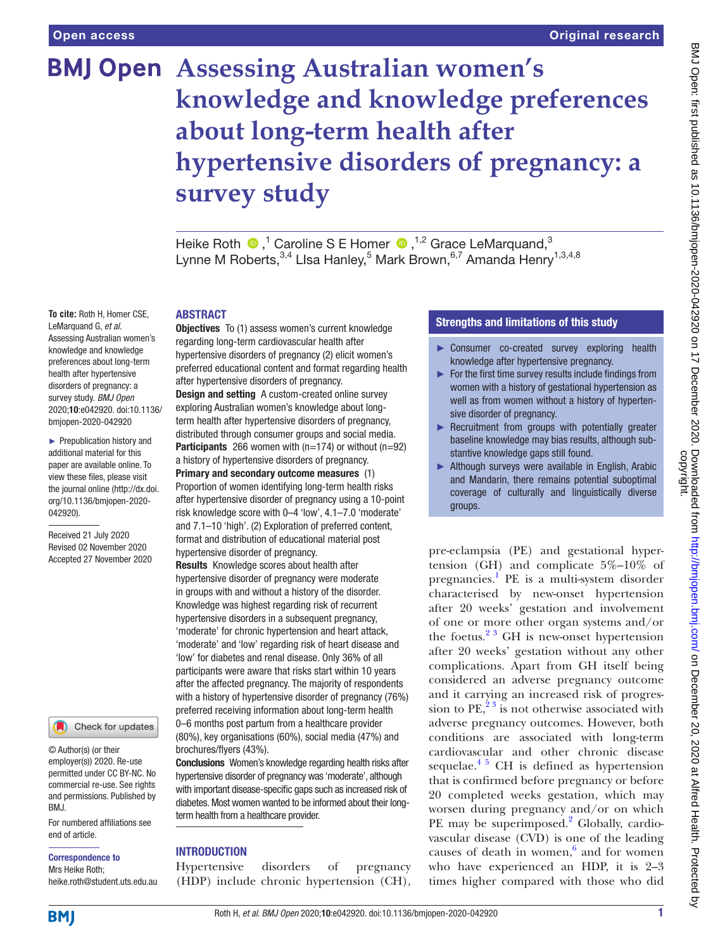# **BMJ Open Assessing Australian women's knowledge and knowledge preferences about long-term health after hypertensive disorders of pregnancy: a survey study**

HeikeRoth  $\bigcirc$ ,<sup>1</sup> Caroline S E Homer  $\bigcirc$ ,<sup>1,2</sup> Grace LeMarquand,<sup>3</sup> Lynne M Roberts,<sup>3,4</sup> Llsa Hanley,<sup>5</sup> Mark Brown,<sup>6,7</sup> Amanda Henry<sup>1,3,4,8</sup>

#### ABSTRACT

**To cite:** Roth H, Homer CSE, LeMarquand G, *et al*. Assessing Australian women's knowledge and knowledge preferences about long-term health after hypertensive disorders of pregnancy: a survey study. *BMJ Open* 2020;10:e042920. doi:10.1136/ bmjopen-2020-042920

► Prepublication history and additional material for this paper are available online. To view these files, please visit the journal online (http://dx.doi. org/10.1136/bmjopen-2020- 042920).

Received 21 July 2020 Revised 02 November 2020 Accepted 27 November 2020



© Author(s) (or their employer(s)) 2020. Re-use permitted under CC BY-NC. No commercial re-use. See rights and permissions. Published by BMJ.

For numbered affiliations see end of article.

Correspondence to Mrs Heike Roth; heike.roth@student.uts.edu.au

regarding long-term cardiovascular health after hypertensive disorders of pregnancy (2) elicit women's preferred educational content and format regarding health after hypertensive disorders of pregnancy. Design and setting A custom-created online survey exploring Australian women's knowledge about longterm health after hypertensive disorders of pregnancy, distributed through consumer groups and social media. **Participants** 266 women with  $(n=174)$  or without  $(n=92)$ a history of hypertensive disorders of pregnancy. Primary and secondary outcome measures (1) Proportion of women identifying long-term health risks after hypertensive disorder of pregnancy using a 10-point risk knowledge score with 0–4 'low', 4.1–7.0 'moderate' and 7.1–10 'high'. (2) Exploration of preferred content, format and distribution of educational material post hypertensive disorder of pregnancy.

**Objectives** To (1) assess women's current knowledge

Results Knowledge scores about health after hypertensive disorder of pregnancy were moderate in groups with and without a history of the disorder. Knowledge was highest regarding risk of recurrent hypertensive disorders in a subsequent pregnancy, 'moderate' for chronic hypertension and heart attack, 'moderate' and 'low' regarding risk of heart disease and 'low' for diabetes and renal disease. Only 36% of all participants were aware that risks start within 10 years after the affected pregnancy. The majority of respondents with a history of hypertensive disorder of pregnancy (76%) preferred receiving information about long-term health 0–6 months post partum from a healthcare provider (80%), key organisations (60%), social media (47%) and brochures/flyers (43%).

Conclusions Women's knowledge regarding health risks after hypertensive disorder of pregnancy was 'moderate', although with important disease-specific gaps such as increased risk of diabetes. Most women wanted to be informed about their longterm health from a healthcare provider.

# INTRODUCTION

Hypertensive disorders of pregnancy (HDP) include chronic hypertension (CH),

# Strengths and limitations of this study

- ► Consumer co-created survey exploring health knowledge after hypertensive pregnancy.
- ► For the first time survey results include findings from women with a history of gestational hypertension as well as from women without a history of hypertensive disorder of pregnancy.
- ► Recruitment from groups with potentially greater baseline knowledge may bias results, although substantive knowledge gaps still found.
- ► Although surveys were available in English, Arabic and Mandarin, there remains potential suboptimal coverage of culturally and linguistically diverse groups.

pre-eclampsia (PE) and gestational hypertension (GH) and complicate  $5\%$ -10% of pregnancies.<sup>[1](#page-8-0)</sup> PE is a multi-system disorder characterised by new-onset hypertension after 20 weeks' gestation and involvement of one or more other organ systems and/or the foetus. $2^3$  GH is new-onset hypertension after 20 weeks' gestation without any other complications. Apart from GH itself being considered an adverse pregnancy outcome and it carrying an increased risk of progression to PE,<sup>23</sup> is not otherwise associated with adverse pregnancy outcomes. However, both conditions are associated with long-term cardiovascular and other chronic disease sequelae.<sup>4 5</sup> CH is defined as hypertension that is confirmed before pregnancy or before 20 completed weeks gestation, which may worsen during pregnancy and/or on which PE may be superimposed.<sup>[2](#page-8-1)</sup> Globally, cardiovascular disease (CVD) is one of the leading causes of death in women, $6$  and for women who have experienced an HDP, it is 2–3 times higher compared with those who did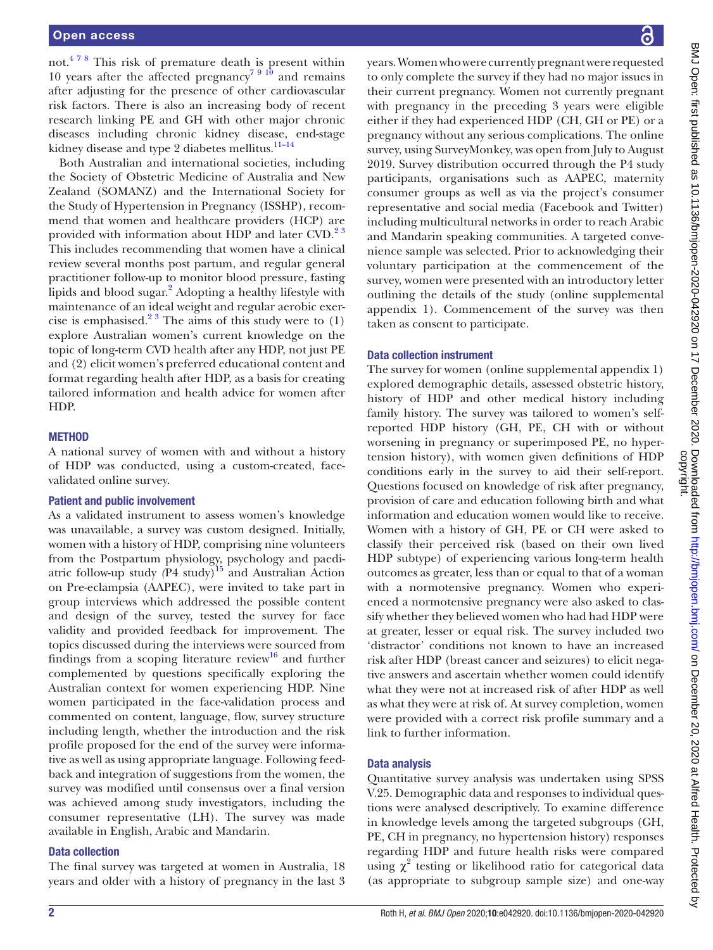not.[4 7 8](#page-8-2) This risk of premature death is present within 10 years after the affected pregnancy<sup>[7 9 10](#page-8-4)</sup> and remains after adjusting for the presence of other cardiovascular risk factors. There is also an increasing body of recent research linking PE and GH with other major chronic diseases including chronic kidney disease, end-stage kidney disease and type 2 diabetes mellitus.<sup>11-14</sup>

Both Australian and international societies, including the Society of Obstetric Medicine of Australia and New Zealand (SOMANZ) and the International Society for the Study of Hypertension in Pregnancy (ISSHP), recommend that women and healthcare providers (HCP) are provided with information about HDP and later CVD.<sup>23</sup> This includes recommending that women have a clinical review several months post partum, and regular general practitioner follow-up to monitor blood pressure, fasting lipids and blood sugar.<sup>[2](#page-8-1)</sup> Adopting a healthy lifestyle with maintenance of an ideal weight and regular aerobic exercise is emphasised.<sup>23</sup> The aims of this study were to  $(1)$ explore Australian women's current knowledge on the topic of long-term CVD health after any HDP, not just PE and (2) elicit women's preferred educational content and format regarding health after HDP, as a basis for creating tailored information and health advice for women after HDP.

# **METHOD**

A national survey of women with and without a history of HDP was conducted, using a custom-created, facevalidated online survey.

#### Patient and public involvement

As a validated instrument to assess women's knowledge was unavailable, a survey was custom designed. Initially, women with a history of HDP, comprising nine volunteers from the Postpartum physiology, psychology and paediatric follow-up study (P4 study)<sup>15</sup> and Australian Action on Pre-eclampsia (AAPEC), were invited to take part in group interviews which addressed the possible content and design of the survey, tested the survey for face validity and provided feedback for improvement. The topics discussed during the interviews were sourced from findings from a scoping literature review<sup>[16](#page-9-0)</sup> and further complemented by questions specifically exploring the Australian context for women experiencing HDP. Nine women participated in the face-validation process and commented on content, language, flow, survey structure including length, whether the introduction and the risk profile proposed for the end of the survey were informative as well as using appropriate language. Following feedback and integration of suggestions from the women, the survey was modified until consensus over a final version was achieved among study investigators, including the consumer representative (LH). The survey was made available in English, Arabic and Mandarin.

#### Data collection

The final survey was targeted at women in Australia, 18 years and older with a history of pregnancy in the last 3 years. Women who were currently pregnant were requested to only complete the survey if they had no major issues in their current pregnancy. Women not currently pregnant with pregnancy in the preceding 3 years were eligible either if they had experienced HDP (CH, GH or PE) or a pregnancy without any serious complications. The online survey, using SurveyMonkey, was open from July to August 2019. Survey distribution occurred through the P4 study participants, organisations such as AAPEC, maternity consumer groups as well as via the project's consumer representative and social media (Facebook and Twitter) including multicultural networks in order to reach Arabic and Mandarin speaking communities. A targeted convenience sample was selected. Prior to acknowledging their voluntary participation at the commencement of the survey, women were presented with an introductory letter outlining the details of the study [\(online supplemental](https://dx.doi.org/10.1136/bmjopen-2020-042920)  [appendix 1](https://dx.doi.org/10.1136/bmjopen-2020-042920)). Commencement of the survey was then taken as consent to participate.

#### Data collection instrument

The survey for women ([online supplemental appendix 1](https://dx.doi.org/10.1136/bmjopen-2020-042920)) explored demographic details, assessed obstetric history, history of HDP and other medical history including family history. The survey was tailored to women's selfreported HDP history (GH, PE, CH with or without worsening in pregnancy or superimposed PE, no hypertension history), with women given definitions of HDP conditions early in the survey to aid their self-report. Questions focused on knowledge of risk after pregnancy, provision of care and education following birth and what information and education women would like to receive. Women with a history of GH, PE or CH were asked to classify their perceived risk (based on their own lived HDP subtype) of experiencing various long-term health outcomes as greater, less than or equal to that of a woman with a normotensive pregnancy. Women who experienced a normotensive pregnancy were also asked to classify whether they believed women who had had HDP were at greater, lesser or equal risk. The survey included two 'distractor' conditions not known to have an increased risk after HDP (breast cancer and seizures) to elicit negative answers and ascertain whether women could identify what they were not at increased risk of after HDP as well as what they were at risk of. At survey completion, women were provided with a correct risk profile summary and a link to further information.

#### Data analysis

Quantitative survey analysis was undertaken using SPSS V.25. Demographic data and responses to individual questions were analysed descriptively. To examine difference in knowledge levels among the targeted subgroups (GH, PE, CH in pregnancy, no hypertension history) responses regarding HDP and future health risks were compared using  $\chi^2$  testing or likelihood ratio for categorical data (as appropriate to subgroup sample size) and one-way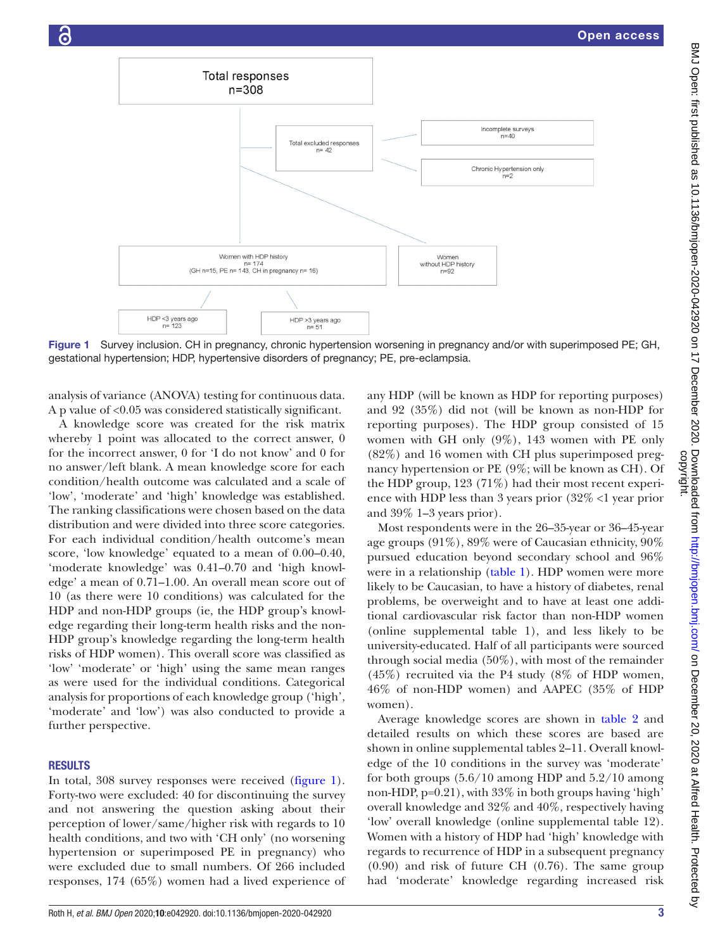

<span id="page-2-0"></span>Figure 1 Survey inclusion. CH in pregnancy, chronic hypertension worsening in pregnancy and/or with superimposed PE; GH, gestational hypertension; HDP, hypertensive disorders of pregnancy; PE, pre-eclampsia.

analysis of variance (ANOVA) testing for continuous data. A p value of <0.05 was considered statistically significant.

A knowledge score was created for the risk matrix whereby 1 point was allocated to the correct answer, 0 for the incorrect answer, 0 for 'I do not know' and 0 for no answer/left blank. A mean knowledge score for each condition/health outcome was calculated and a scale of 'low', 'moderate' and 'high' knowledge was established. The ranking classifications were chosen based on the data distribution and were divided into three score categories. For each individual condition/health outcome's mean score, 'low knowledge' equated to a mean of 0.00–0.40, 'moderate knowledge' was 0.41–0.70 and 'high knowledge' a mean of 0.71–1.00. An overall mean score out of 10 (as there were 10 conditions) was calculated for the HDP and non-HDP groups (ie, the HDP group's knowledge regarding their long-term health risks and the non-HDP group's knowledge regarding the long-term health risks of HDP women). This overall score was classified as 'low' 'moderate' or 'high' using the same mean ranges as were used for the individual conditions. Categorical analysis for proportions of each knowledge group ('high', 'moderate' and 'low') was also conducted to provide a further perspective.

#### RESULTS

In total, 308 survey responses were received [\(figure](#page-2-0) 1). Forty-two were excluded: 40 for discontinuing the survey and not answering the question asking about their perception of lower/same/higher risk with regards to 10 health conditions, and two with 'CH only' (no worsening hypertension or superimposed PE in pregnancy) who were excluded due to small numbers. Of 266 included responses, 174 (65%) women had a lived experience of any HDP (will be known as HDP for reporting purposes) and 92 (35%) did not (will be known as non-HDP for reporting purposes). The HDP group consisted of 15 women with GH only (9%), 143 women with PE only (82%) and 16 women with CH plus superimposed pregnancy hypertension or PE (9%; will be known as CH). Of the HDP group, 123 (71%) had their most recent experience with HDP less than 3 years prior (32% <1 year prior and 39% 1–3 years prior).

Most respondents were in the 26–35-year or 36–45-year age groups (91%), 89% were of Caucasian ethnicity, 90% pursued education beyond secondary school and 96% were in a relationship ([table](#page-3-0) 1). HDP women were more likely to be Caucasian, to have a history of diabetes, renal problems, be overweight and to have at least one additional cardiovascular risk factor than non-HDP women [\(online supplemental table 1\)](https://dx.doi.org/10.1136/bmjopen-2020-042920), and less likely to be university-educated. Half of all participants were sourced through social media (50%), with most of the remainder (45%) recruited via the P4 study (8% of HDP women, 46% of non-HDP women) and AAPEC (35% of HDP women).

Average knowledge scores are shown in [table](#page-4-0) 2 and detailed results on which these scores are based are shown in [online supplemental tables 2–11](https://dx.doi.org/10.1136/bmjopen-2020-042920). Overall knowledge of the 10 conditions in the survey was 'moderate' for both groups (5.6/10 among HDP and 5.2/10 among non-HDP, p=0.21), with 33% in both groups having 'high' overall knowledge and 32% and 40%, respectively having 'low' overall knowledge [\(online supplemental table 12\)](https://dx.doi.org/10.1136/bmjopen-2020-042920). Women with a history of HDP had 'high' knowledge with regards to recurrence of HDP in a subsequent pregnancy (0.90) and risk of future CH (0.76). The same group had 'moderate' knowledge regarding increased risk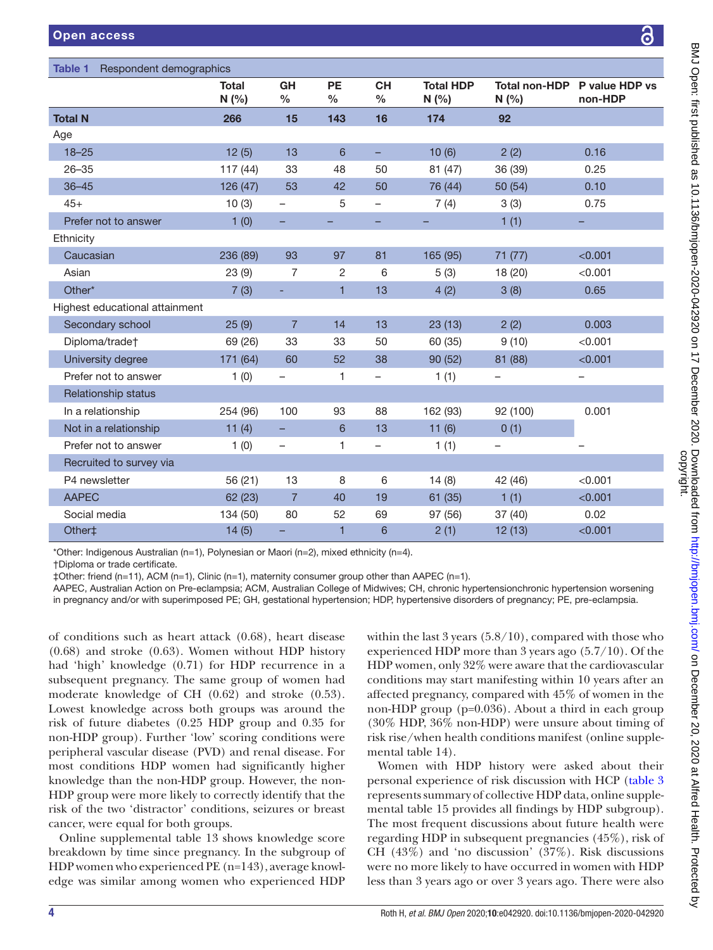<span id="page-3-0"></span>

| Respondent demographics<br><b>Table 1</b> |                       |                          |                            |                            |                         |                   |                                         |  |
|-------------------------------------------|-----------------------|--------------------------|----------------------------|----------------------------|-------------------------|-------------------|-----------------------------------------|--|
|                                           | <b>Total</b><br>N(% ) | GH<br>$\%$               | <b>PE</b><br>$\frac{0}{0}$ | <b>CH</b><br>$\frac{0}{0}$ | <b>Total HDP</b><br>N(% | N(% )             | Total non-HDP P value HDP vs<br>non-HDP |  |
| <b>Total N</b>                            | 266                   | 15                       | 143                        | 16                         | 174                     | 92                |                                         |  |
| Age                                       |                       |                          |                            |                            |                         |                   |                                         |  |
| $18 - 25$                                 | 12(5)                 | 13                       | 6                          | -                          | 10(6)                   | 2(2)              | 0.16                                    |  |
| $26 - 35$                                 | 117(44)               | 33                       | 48                         | 50                         | 81 (47)                 | 36 (39)           | 0.25                                    |  |
| $36 - 45$                                 | 126 (47)              | 53                       | 42                         | 50                         | 76 (44)                 | 50 (54)           | 0.10                                    |  |
| $45+$                                     | 10(3)                 | $\overline{\phantom{0}}$ | 5                          | $\qquad \qquad -$          | 7(4)                    | 3(3)              | 0.75                                    |  |
| Prefer not to answer                      | 1(0)                  | -                        |                            | ÷,                         |                         | 1(1)              |                                         |  |
| Ethnicity                                 |                       |                          |                            |                            |                         |                   |                                         |  |
| Caucasian                                 | 236 (89)              | 93                       | 97                         | 81                         | 165 (95)                | 71 (77)           | < 0.001                                 |  |
| Asian                                     | 23(9)                 | 7                        | 2                          | 6                          | 5(3)                    | 18 (20)           | < 0.001                                 |  |
| Other*                                    | 7(3)                  | ٠                        | $\mathbf{1}$               | 13                         | 4(2)                    | 3(8)              | 0.65                                    |  |
| Highest educational attainment            |                       |                          |                            |                            |                         |                   |                                         |  |
| Secondary school                          | 25(9)                 | $\overline{7}$           | 14                         | 13                         | 23(13)                  | 2(2)              | 0.003                                   |  |
| Diploma/trade†                            | 69 (26)               | 33                       | 33                         | 50                         | 60 (35)                 | 9(10)             | < 0.001                                 |  |
| University degree                         | 171 (64)              | 60                       | 52                         | 38                         | 90(52)                  | 81 (88)           | < 0.001                                 |  |
| Prefer not to answer                      | 1(0)                  | $\overline{\phantom{0}}$ | 1                          | $\overline{\phantom{0}}$   | 1(1)                    |                   |                                         |  |
| Relationship status                       |                       |                          |                            |                            |                         |                   |                                         |  |
| In a relationship                         | 254 (96)              | 100                      | 93                         | 88                         | 162 (93)                | 92 (100)          | 0.001                                   |  |
| Not in a relationship                     | 11(4)                 | -                        | 6                          | 13                         | 11(6)                   | 0(1)              |                                         |  |
| Prefer not to answer                      | 1(0)                  | $\qquad \qquad -$        | 1                          | $\qquad \qquad -$          | 1(1)                    | $\qquad \qquad -$ | $\overline{\phantom{0}}$                |  |
| Recruited to survey via                   |                       |                          |                            |                            |                         |                   |                                         |  |
| P4 newsletter                             | 56 (21)               | 13                       | 8                          | 6                          | 14(8)                   | 42 (46)           | < 0.001                                 |  |
| <b>AAPEC</b>                              | 62 (23)               | $\overline{7}$           | 40                         | 19                         | 61(35)                  | 1(1)              | < 0.001                                 |  |
| Social media                              | 134 (50)              | 80                       | 52                         | 69                         | 97 (56)                 | 37(40)            | 0.02                                    |  |
| Other‡                                    | 14(5)                 | -                        | $\mathbf{1}$               | 6                          | 2(1)                    | 12(13)            | < 0.001                                 |  |

\*Other: Indigenous Australian (n=1), Polynesian or Maori (n=2), mixed ethnicity (n=4).

†Diploma or trade certificate.

‡Other: friend (n=11), ACM (n=1), Clinic (n=1), maternity consumer group other than AAPEC (n=1).

AAPEC, Australian Action on Pre-eclampsia; ACM, Australian College of Midwives; CH, chronic hypertensionchronic hypertension worsening

in pregnancy and/or with superimposed PE; GH, gestational hypertension; HDP, hypertensive disorders of pregnancy; PE, pre-eclampsia.

of conditions such as heart attack (0.68), heart disease (0.68) and stroke (0.63). Women without HDP history had 'high' knowledge (0.71) for HDP recurrence in a subsequent pregnancy. The same group of women had moderate knowledge of CH (0.62) and stroke (0.53). Lowest knowledge across both groups was around the risk of future diabetes (0.25 HDP group and 0.35 for non-HDP group). Further 'low' scoring conditions were peripheral vascular disease (PVD) and renal disease. For most conditions HDP women had significantly higher knowledge than the non-HDP group. However, the non-HDP group were more likely to correctly identify that the risk of the two 'distractor' conditions, seizures or breast cancer, were equal for both groups.

[Online supplemental table 13](https://dx.doi.org/10.1136/bmjopen-2020-042920) shows knowledge score breakdown by time since pregnancy. In the subgroup of HDP women who experienced PE (n=143), average knowledge was similar among women who experienced HDP

within the last  $3$  years  $(5.8/10)$ , compared with those who experienced HDP more than 3 years ago (5.7/10). Of the HDP women, only 32% were aware that the cardiovascular conditions may start manifesting within 10 years after an affected pregnancy, compared with 45% of women in the non-HDP group (p=0.036). About a third in each group (30% HDP, 36% non-HDP) were unsure about timing of risk rise/when health conditions manifest [\(online supple](https://dx.doi.org/10.1136/bmjopen-2020-042920)[mental table 14](https://dx.doi.org/10.1136/bmjopen-2020-042920)).

Women with HDP history were asked about their personal experience of risk discussion with HCP [\(table](#page-4-1) 3 represents summary of collective HDP data, [online supple](https://dx.doi.org/10.1136/bmjopen-2020-042920)[mental table 15](https://dx.doi.org/10.1136/bmjopen-2020-042920) provides all findings by HDP subgroup). The most frequent discussions about future health were regarding HDP in subsequent pregnancies (45%), risk of CH (43%) and 'no discussion' (37%). Risk discussions were no more likely to have occurred in women with HDP less than 3 years ago or over 3 years ago. There were also

႕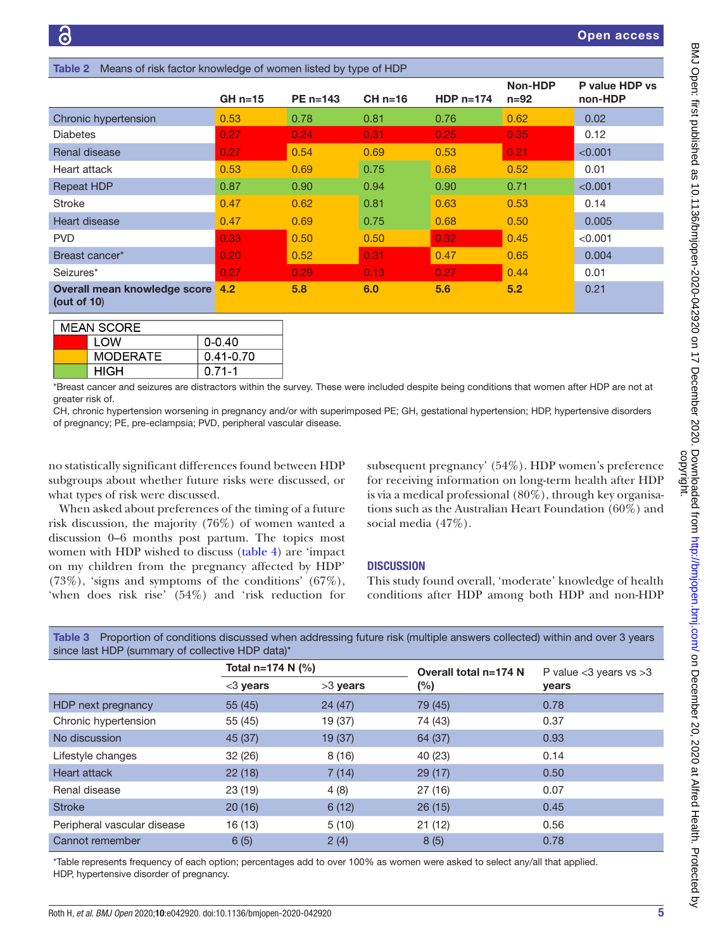<span id="page-4-0"></span>

| <b>REPORT OF HOR ROLL INTO MODGO OF MOTHOL ROLL SY</b> TYPO OF HOL |           |              |           |                   |                   |                           |
|--------------------------------------------------------------------|-----------|--------------|-----------|-------------------|-------------------|---------------------------|
|                                                                    | $GH n=15$ | $PE n = 143$ | $CH n=16$ | HDP $n=174$       | Non-HDP<br>$n=92$ | P value HDP vs<br>non-HDP |
| Chronic hypertension                                               | 0.53      | 0.78         | 0.81      | 0.76              | 0.62              | 0.02                      |
| <b>Diabetes</b>                                                    | 0.27      | 0.24         | 0.31      | 0.25              | 0.35              | 0.12                      |
| Renal disease                                                      | 0.27      | 0.54         | 0.69      | 0.53              | 0.21              | < 0.001                   |
| Heart attack                                                       | 0.53      | 0.69         | 0.75      | 0.68              | 0.52              | 0.01                      |
| <b>Repeat HDP</b>                                                  | 0.87      | 0.90         | 0.94      | 0.90              | 0.71              | < 0.001                   |
| <b>Stroke</b>                                                      | 0.47      | 0.62         | 0.81      | 0.63              | 0.53              | 0.14                      |
| Heart disease                                                      | 0.47      | 0.69         | 0.75      | 0.68              | 0.50              | 0.005                     |
| <b>PVD</b>                                                         | 0.33      | 0.50         | 0.50      | 0.32 <sub>1</sub> | 0.45              | < 0.001                   |
| Breast cancer*                                                     | 0.20      | 0.52         | 0.31      | 0.47              | 0.65              | 0.004                     |
| Seizures*                                                          | 0.27      | 0.29         | 0.13      | 0.27              | 0.44              | 0.01                      |
| Overall mean knowledge score<br>(out of $10$ )                     | 4.2       | 5.8          | 6.0       | 5.6               | 5.2               | 0.21                      |

of risk factor knowledge of women listed by type of HDP

| <b>MEAN SCORE</b> |                 |               |  |  |  |
|-------------------|-----------------|---------------|--|--|--|
|                   | I OW            | $0 - 0.40$    |  |  |  |
|                   | <b>MODERATE</b> | $0.41 - 0.70$ |  |  |  |
|                   | HIGH            | $0.71 - 1$    |  |  |  |

\*Breast cancer and seizures are distractors within the survey. These were included despite being conditions that women after HDP are not at greater risk of.

CH, chronic hypertension worsening in pregnancy and/or with superimposed PE; GH, gestational hypertension; HDP, hypertensive disorders of pregnancy; PE, pre-eclampsia; PVD, peripheral vascular disease.

no statistically significant differences found between HDP subgroups about whether future risks were discussed, or what types of risk were discussed.

When asked about preferences of the timing of a future risk discussion, the majority (76%) of women wanted a discussion 0–6 months post partum. The topics most women with HDP wished to discuss [\(table](#page-5-0) 4) are 'impact on my children from the pregnancy affected by HDP' (73%), 'signs and symptoms of the conditions' (67%), 'when does risk rise' (54%) and 'risk reduction for subsequent pregnancy' (54%). HDP women's preference for receiving information on long-term health after HDP is via a medical professional (80%), through key organisations such as the Australian Heart Foundation (60%) and social media (47%).

# **DISCUSSION**

This study found overall, 'moderate' knowledge of health conditions after HDP among both HDP and non-HDP

| since last HDP (summary of collective HDP data) <sup>*</sup> |                         |            |                       |                              |  |  |
|--------------------------------------------------------------|-------------------------|------------|-----------------------|------------------------------|--|--|
|                                                              | Total $n=174$ N $(\% )$ |            | Overall total n=174 N | P value $<$ 3 years vs $>$ 3 |  |  |
|                                                              | $<$ 3 years             | $>3$ years | $(\%)$                | years                        |  |  |
| HDP next pregnancy                                           | 55(45)                  | 24(47)     | 79 (45)               | 0.78                         |  |  |
| Chronic hypertension                                         | 55 (45)                 | 19 (37)    | 74 (43)               | 0.37                         |  |  |
| No discussion                                                | 45 (37)                 | 19 (37)    | 64 (37)               | 0.93                         |  |  |
| Lifestyle changes                                            | 32 (26)                 | 8(16)      | 40 (23)               | 0.14                         |  |  |
| <b>Heart attack</b>                                          | 22(18)                  | 7(14)      | 29(17)                | 0.50                         |  |  |
| Renal disease                                                | 23(19)                  | 4(8)       | 27(16)                | 0.07                         |  |  |
| <b>Stroke</b>                                                | 20(16)                  | 6(12)      | 26(15)                | 0.45                         |  |  |
| Peripheral vascular disease                                  | 16 (13)                 | 5(10)      | 21(12)                | 0.56                         |  |  |
| Cannot remember                                              | 6(5)                    | 2(4)       | 8(5)                  | 0.78                         |  |  |

<span id="page-4-1"></span>Table 3 Proportion of conditions discussed when addressing future risk (multiple answers collected) within and over 3 years since last HDP (summary of collective HDP data)\*

\*Table represents frequency of each option; percentages add to over 100% as women were asked to select any/all that applied. HDP, hypertensive disorder of pregnancy.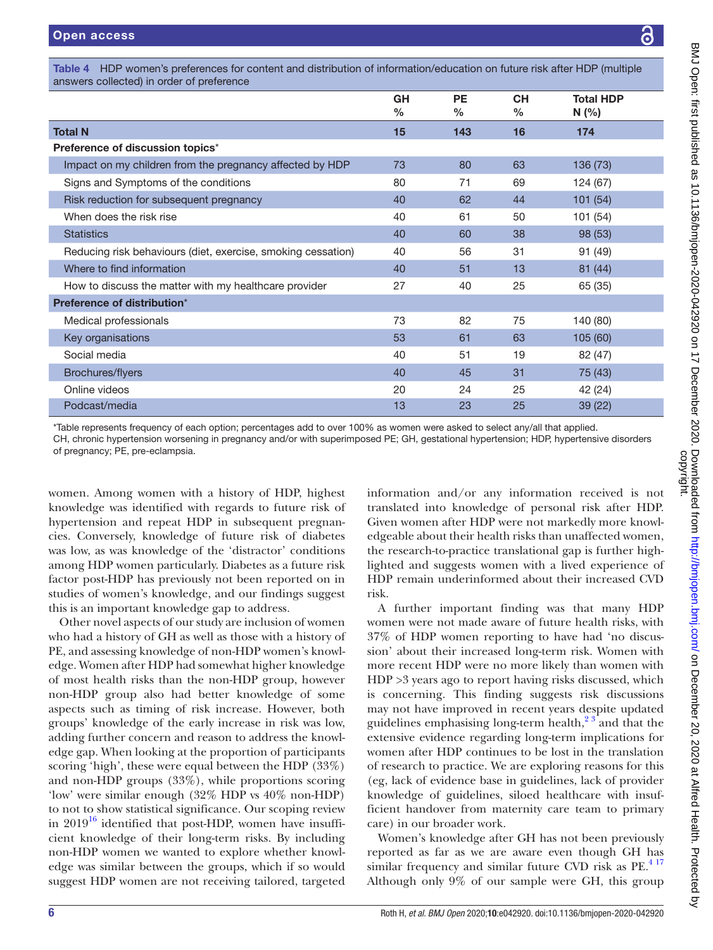<span id="page-5-0"></span>Table 4 HDP women's preferences for content and distribution of information/education on future risk after HDP (multiple answers collected) in order of preference

|                                                              | <b>GH</b><br>$\frac{0}{0}$ | <b>PE</b><br>% | <b>CH</b><br>% | <b>Total HDP</b><br>N(% |
|--------------------------------------------------------------|----------------------------|----------------|----------------|-------------------------|
| <b>Total N</b>                                               | 15                         | 143            | 16             | 174                     |
| Preference of discussion topics*                             |                            |                |                |                         |
| Impact on my children from the pregnancy affected by HDP     | 73                         | 80             | 63             | 136 (73)                |
| Signs and Symptoms of the conditions                         | 80                         | 71             | 69             | 124 (67)                |
| Risk reduction for subsequent pregnancy                      | 40                         | 62             | 44             | 101(54)                 |
| When does the risk rise                                      | 40                         | 61             | 50             | 101 (54)                |
| <b>Statistics</b>                                            | 40                         | 60             | 38             | 98 (53)                 |
| Reducing risk behaviours (diet, exercise, smoking cessation) | 40                         | 56             | 31             | 91 (49)                 |
| Where to find information                                    | 40                         | 51             | 13             | 81 (44)                 |
| How to discuss the matter with my healthcare provider        | 27                         | 40             | 25             | 65 (35)                 |
| Preference of distribution*                                  |                            |                |                |                         |
| Medical professionals                                        | 73                         | 82             | 75             | 140 (80)                |
| Key organisations                                            | 53                         | 61             | 63             | 105(60)                 |
| Social media                                                 | 40                         | 51             | 19             | 82 (47)                 |
| Brochures/flyers                                             | 40                         | 45             | 31             | 75 (43)                 |
| Online videos                                                | 20                         | 24             | 25             | 42 (24)                 |
| Podcast/media                                                | 13                         | 23             | 25             | 39 (22)                 |

\*Table represents frequency of each option; percentages add to over 100% as women were asked to select any/all that applied. CH, chronic hypertension worsening in pregnancy and/or with superimposed PE; GH, gestational hypertension; HDP, hypertensive disorders of pregnancy; PE, pre-eclampsia.

women. Among women with a history of HDP, highest knowledge was identified with regards to future risk of hypertension and repeat HDP in subsequent pregnancies. Conversely, knowledge of future risk of diabetes was low, as was knowledge of the 'distractor' conditions among HDP women particularly. Diabetes as a future risk factor post-HDP has previously not been reported on in studies of women's knowledge, and our findings suggest this is an important knowledge gap to address.

Other novel aspects of our study are inclusion of women who had a history of GH as well as those with a history of PE, and assessing knowledge of non-HDP women's knowledge. Women after HDP had somewhat higher knowledge of most health risks than the non-HDP group, however non-HDP group also had better knowledge of some aspects such as timing of risk increase. However, both groups' knowledge of the early increase in risk was low, adding further concern and reason to address the knowledge gap. When looking at the proportion of participants scoring 'high', these were equal between the HDP (33%) and non-HDP groups (33%), while proportions scoring 'low' were similar enough (32% HDP vs 40% non-HDP) to not to show statistical significance. Our scoping review in  $2019^{16}$  identified that post-HDP, women have insufficient knowledge of their long-term risks. By including non-HDP women we wanted to explore whether knowledge was similar between the groups, which if so would suggest HDP women are not receiving tailored, targeted

information and/or any information received is not translated into knowledge of personal risk after HDP. Given women after HDP were not markedly more knowledgeable about their health risks than unaffected women, the research-to-practice translational gap is further highlighted and suggests women with a lived experience of HDP remain underinformed about their increased CVD risk.

A further important finding was that many HDP women were not made aware of future health risks, with 37% of HDP women reporting to have had 'no discussion' about their increased long-term risk. Women with more recent HDP were no more likely than women with HDP >3 years ago to report having risks discussed, which is concerning. This finding suggests risk discussions may not have improved in recent years despite updated guidelines emphasising long-term health, $2^3$  and that the extensive evidence regarding long-term implications for women after HDP continues to be lost in the translation of research to practice. We are exploring reasons for this (eg, lack of evidence base in guidelines, lack of provider knowledge of guidelines, siloed healthcare with insufficient handover from maternity care team to primary care) in our broader work.

Women's knowledge after GH has not been previously reported as far as we are aware even though GH has similar frequency and similar future CVD risk as  $PE.<sup>417</sup>$ Although only 9% of our sample were GH, this group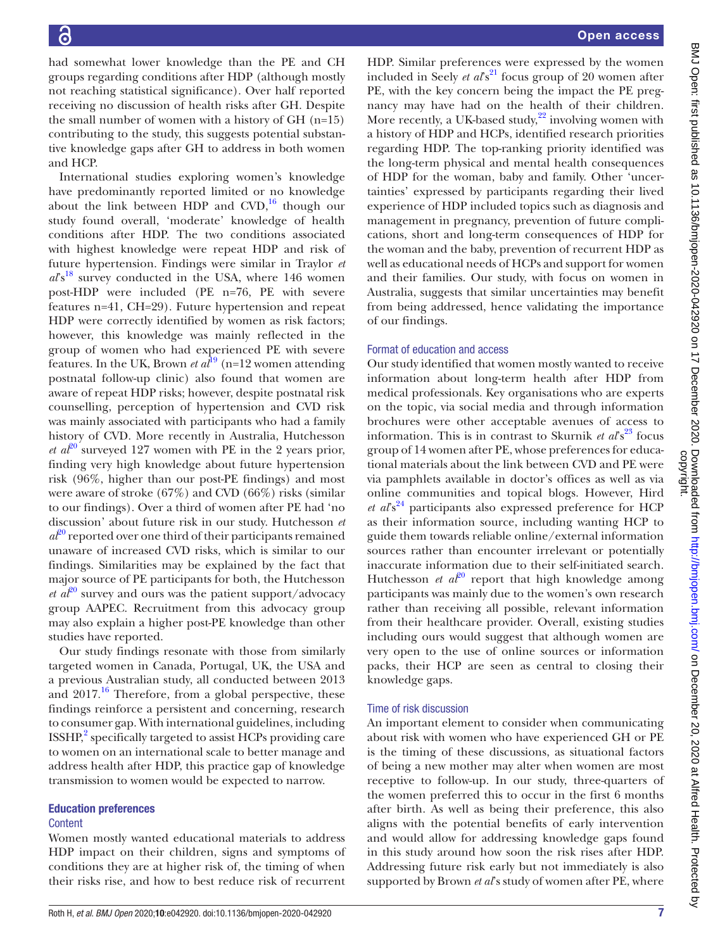had somewhat lower knowledge than the PE and CH groups regarding conditions after HDP (although mostly not reaching statistical significance). Over half reported receiving no discussion of health risks after GH. Despite the small number of women with a history of GH (n=15) contributing to the study, this suggests potential substantive knowledge gaps after GH to address in both women and HCP.

International studies exploring women's knowledge have predominantly reported limited or no knowledge about the link between HDP and  $CVD$ ,<sup>16</sup> though our study found overall, 'moderate' knowledge of health conditions after HDP. The two conditions associated with highest knowledge were repeat HDP and risk of future hypertension. Findings were similar in Traylor *et*   $a\ell s^{18}$  survey conducted in the USA, where 146 women post-HDP were included (PE n=76, PE with severe features n=41, CH=29). Future hypertension and repeat HDP were correctly identified by women as risk factors; however, this knowledge was mainly reflected in the group of women who had experienced PE with severe features. In the UK, Brown *et al*<sup>19</sup> (n=12 women attending postnatal follow-up clinic) also found that women are aware of repeat HDP risks; however, despite postnatal risk counselling, perception of hypertension and CVD risk was mainly associated with participants who had a family history of CVD. More recently in Australia, Hutchesson *et al*<sup>20</sup> surveyed 127 women with PE in the 2 years prior, finding very high knowledge about future hypertension risk (96%, higher than our post-PE findings) and most were aware of stroke (67%) and CVD (66%) risks (similar to our findings). Over a third of women after PE had 'no discussion' about future risk in our study. Hutchesson *et*   $a\ddot{\ell}^{0}$  reported over one third of their participants remained unaware of increased CVD risks, which is similar to our findings. Similarities may be explained by the fact that major source of PE participants for both, the Hutchesson *et al*<sup>20</sup> survey and ours was the patient support/advocacy group AAPEC. Recruitment from this advocacy group may also explain a higher post-PE knowledge than other studies have reported.

Our study findings resonate with those from similarly targeted women in Canada, Portugal, UK, the USA and a previous Australian study, all conducted between 2013 and  $2017<sup>16</sup>$  Therefore, from a global perspective, these findings reinforce a persistent and concerning, research to consumer gap. With international guidelines, including  $ISSHP<sup>2</sup>$  $ISSHP<sup>2</sup>$  $ISSHP<sup>2</sup>$  specifically targeted to assist HCPs providing care to women on an international scale to better manage and address health after HDP, this practice gap of knowledge transmission to women would be expected to narrow.

#### Education preferences

#### **Content**

Women mostly wanted educational materials to address HDP impact on their children, signs and symptoms of conditions they are at higher risk of, the timing of when their risks rise, and how to best reduce risk of recurrent

HDP. Similar preferences were expressed by the women included in Seely *et al*<sup>82</sup> focus group of 20 women after PE, with the key concern being the impact the PE pregnancy may have had on the health of their children. More recently, a UK-based study, $22$  involving women with a history of HDP and HCPs, identified research priorities regarding HDP. The top-ranking priority identified was the long-term physical and mental health consequences of HDP for the woman, baby and family. Other 'uncertainties' expressed by participants regarding their lived experience of HDP included topics such as diagnosis and management in pregnancy, prevention of future complications, short and long-term consequences of HDP for the woman and the baby, prevention of recurrent HDP as well as educational needs of HCPs and support for women and their families. Our study, with focus on women in Australia, suggests that similar uncertainties may benefit from being addressed, hence validating the importance of our findings.

#### Format of education and access

Our study identified that women mostly wanted to receive information about long-term health after HDP from medical professionals. Key organisations who are experts on the topic, via social media and through information brochures were other acceptable avenues of access to information. This is in contrast to Skurnik *et al*<sup>23</sup> focus group of 14 women after PE, whose preferences for educational materials about the link between CVD and PE were via pamphlets available in doctor's offices as well as via online communities and topical blogs. However, Hird *et al*<sup>824</sup> participants also expressed preference for HCP as their information source, including wanting HCP to guide them towards reliable online/external information sources rather than encounter irrelevant or potentially inaccurate information due to their self-initiated search. Hutchesson *et al*<sup>20</sup> report that high knowledge among participants was mainly due to the women's own research rather than receiving all possible, relevant information from their healthcare provider. Overall, existing studies including ours would suggest that although women are very open to the use of online sources or information packs, their HCP are seen as central to closing their knowledge gaps.

#### Time of risk discussion

An important element to consider when communicating about risk with women who have experienced GH or PE is the timing of these discussions, as situational factors of being a new mother may alter when women are most receptive to follow-up. In our study, three-quarters of the women preferred this to occur in the first 6 months after birth. As well as being their preference, this also aligns with the potential benefits of early intervention and would allow for addressing knowledge gaps found in this study around how soon the risk rises after HDP. Addressing future risk early but not immediately is also supported by Brown *et al*'s study of women after PE, where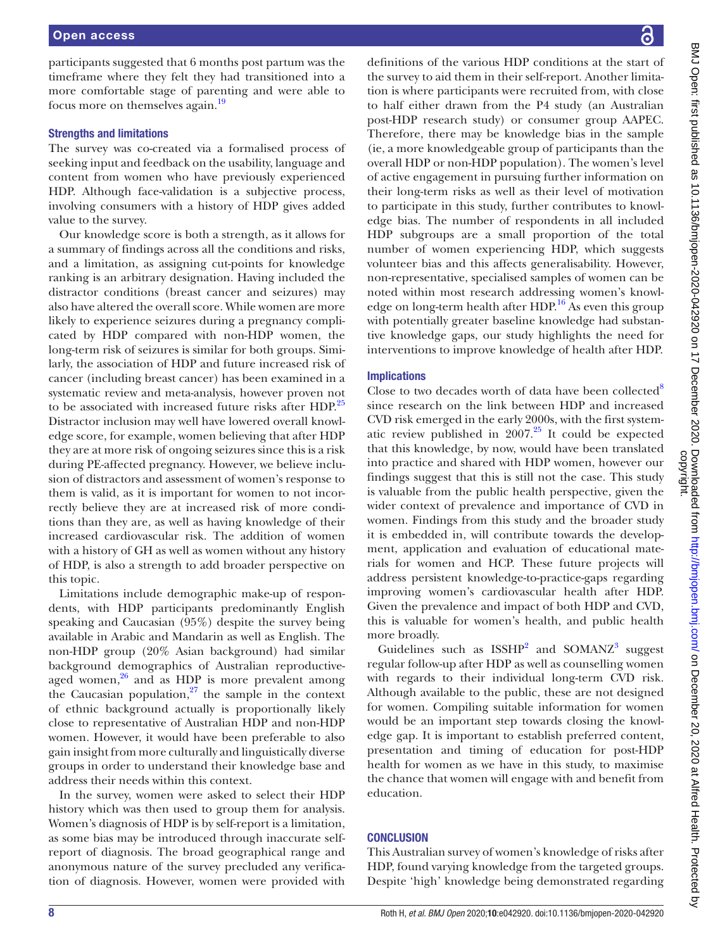participants suggested that 6 months post partum was the timeframe where they felt they had transitioned into a more comfortable stage of parenting and were able to focus more on themselves again.[19](#page-9-2)

#### Strengths and limitations

The survey was co-created via a formalised process of seeking input and feedback on the usability, language and content from women who have previously experienced HDP. Although face-validation is a subjective process, involving consumers with a history of HDP gives added value to the survey.

Our knowledge score is both a strength, as it allows for a summary of findings across all the conditions and risks, and a limitation, as assigning cut-points for knowledge ranking is an arbitrary designation. Having included the distractor conditions (breast cancer and seizures) may also have altered the overall score. While women are more likely to experience seizures during a pregnancy complicated by HDP compared with non-HDP women, the long-term risk of seizures is similar for both groups. Similarly, the association of HDP and future increased risk of cancer (including breast cancer) has been examined in a systematic review and meta-analysis, however proven not to be associated with increased future risks after HDP.<sup>[25](#page-9-8)</sup> Distractor inclusion may well have lowered overall knowledge score, for example, women believing that after HDP they are at more risk of ongoing seizures since this is a risk during PE-affected pregnancy. However, we believe inclusion of distractors and assessment of women's response to them is valid, as it is important for women to not incorrectly believe they are at increased risk of more conditions than they are, as well as having knowledge of their increased cardiovascular risk. The addition of women with a history of GH as well as women without any history of HDP, is also a strength to add broader perspective on this topic.

Limitations include demographic make-up of respondents, with HDP participants predominantly English speaking and Caucasian (95%) despite the survey being available in Arabic and Mandarin as well as English. The non-HDP group (20% Asian background) had similar background demographics of Australian reproductiveaged women, $26$  and as HDP is more prevalent among the Caucasian population, $27$  the sample in the context of ethnic background actually is proportionally likely close to representative of Australian HDP and non-HDP women. However, it would have been preferable to also gain insight from more culturally and linguistically diverse groups in order to understand their knowledge base and address their needs within this context.

In the survey, women were asked to select their HDP history which was then used to group them for analysis. Women's diagnosis of HDP is by self-report is a limitation, as some bias may be introduced through inaccurate selfreport of diagnosis. The broad geographical range and anonymous nature of the survey precluded any verification of diagnosis. However, women were provided with

definitions of the various HDP conditions at the start of the survey to aid them in their self-report. Another limitation is where participants were recruited from, with close to half either drawn from the P4 study (an Australian post-HDP research study) or consumer group AAPEC. Therefore, there may be knowledge bias in the sample (ie, a more knowledgeable group of participants than the overall HDP or non-HDP population). The women's level of active engagement in pursuing further information on their long-term risks as well as their level of motivation to participate in this study, further contributes to knowledge bias. The number of respondents in all included HDP subgroups are a small proportion of the total number of women experiencing HDP, which suggests volunteer bias and this affects generalisability. However, non-representative, specialised samples of women can be noted within most research addressing women's knowledge on long-term health after HDP. [16](#page-9-0) As even this group with potentially greater baseline knowledge had substantive knowledge gaps, our study highlights the need for interventions to improve knowledge of health after HDP.

# Implications

Close to two decades worth of data have been collected<sup>8</sup> since research on the link between HDP and increased CVD risk emerged in the early 2000s, with the first systematic review published in  $2007<sup>25</sup>$  It could be expected that this knowledge, by now, would have been translated into practice and shared with HDP women, however our findings suggest that this is still not the case. This study is valuable from the public health perspective, given the wider context of prevalence and importance of CVD in women. Findings from this study and the broader study it is embedded in, will contribute towards the development, application and evaluation of educational materials for women and HCP. These future projects will address persistent knowledge-to-practice-gaps regarding improving women's cardiovascular health after HDP. Given the prevalence and impact of both HDP and CVD, this is valuable for women's health, and public health more broadly.

Guidelines such as  $ISSHP<sup>2</sup>$  $ISSHP<sup>2</sup>$  $ISSHP<sup>2</sup>$  and  $SOMANZ<sup>3</sup>$  $SOMANZ<sup>3</sup>$  $SOMANZ<sup>3</sup>$  suggest regular follow-up after HDP as well as counselling women with regards to their individual long-term CVD risk. Although available to the public, these are not designed for women. Compiling suitable information for women would be an important step towards closing the knowledge gap. It is important to establish preferred content, presentation and timing of education for post-HDP health for women as we have in this study, to maximise the chance that women will engage with and benefit from education.

# **CONCLUSION**

This Australian survey of women's knowledge of risks after HDP, found varying knowledge from the targeted groups. Despite 'high' knowledge being demonstrated regarding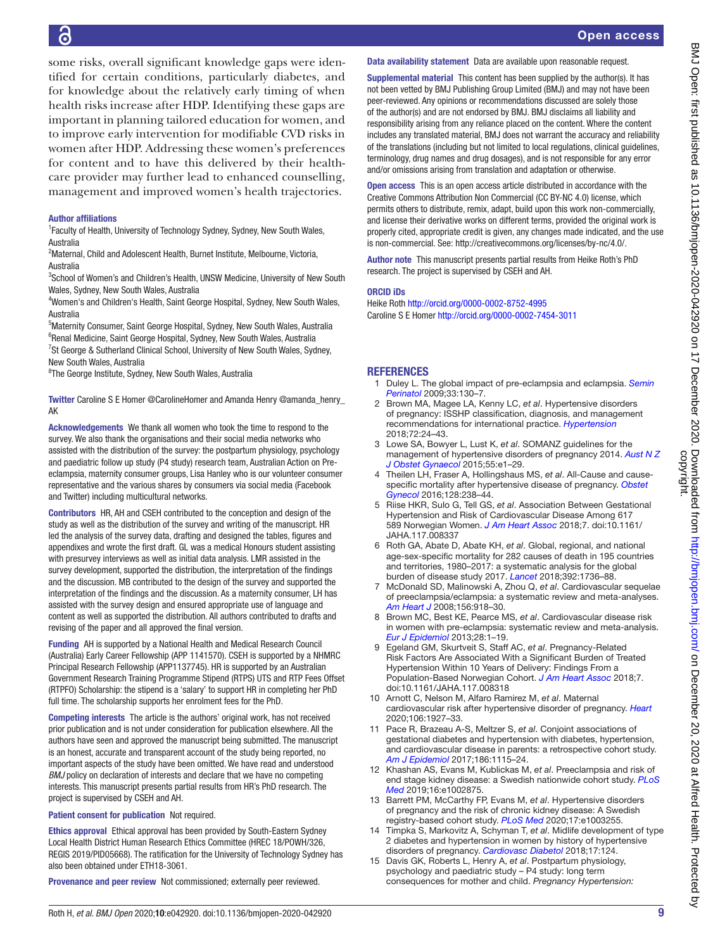# 6

some risks, overall significant knowledge gaps were identified for certain conditions, particularly diabetes, and for knowledge about the relatively early timing of when health risks increase after HDP. Identifying these gaps are important in planning tailored education for women, and to improve early intervention for modifiable CVD risks in women after HDP. Addressing these women's preferences for content and to have this delivered by their healthcare provider may further lead to enhanced counselling, management and improved women's health trajectories.

#### Author affiliations

<sup>1</sup> Faculty of Health, University of Technology Sydney, Sydney, New South Wales, Australia

<sup>2</sup>Maternal, Child and Adolescent Health, Burnet Institute, Melbourne, Victoria, Australia

<sup>3</sup>School of Women's and Children's Health, UNSW Medicine, University of New South Wales, Sydney, New South Wales, Australia

4 Women's and Children's Health, Saint George Hospital, Sydney, New South Wales, Australia

<sup>5</sup>Maternity Consumer, Saint George Hospital, Sydney, New South Wales, Australia <sup>6</sup>Renal Medicine, Saint George Hospital, Sydney, New South Wales, Australia <sup>7</sup>St George & Sutherland Clinical School, University of New South Wales, Sydney, New South Wales, Australia

<sup>8</sup>The George Institute, Sydney, New South Wales, Australia

Twitter Caroline S E Homer [@CarolineHomer](https://twitter.com/CarolineHomer) and Amanda Henry [@amanda\\_henry\\_](https://twitter.com/amanda_henry_AK) [AK](https://twitter.com/amanda_henry_AK)

Acknowledgements We thank all women who took the time to respond to the survey. We also thank the organisations and their social media networks who assisted with the distribution of the survey: the postpartum physiology, psychology and paediatric follow up study (P4 study) research team, Australian Action on Preeclampsia, maternity consumer groups, Lisa Hanley who is our volunteer consumer representative and the various shares by consumers via social media (Facebook and Twitter) including multicultural networks.

Contributors HR, AH and CSEH contributed to the conception and design of the study as well as the distribution of the survey and writing of the manuscript. HR led the analysis of the survey data, drafting and designed the tables, figures and appendixes and wrote the first draft. GL was a medical Honours student assisting with presurvey interviews as well as initial data analysis. LMR assisted in the survey development, supported the distribution, the interpretation of the findings and the discussion. MB contributed to the design of the survey and supported the interpretation of the findings and the discussion. As a maternity consumer, LH has assisted with the survey design and ensured appropriate use of language and content as well as supported the distribution. All authors contributed to drafts and revising of the paper and all approved the final version.

Funding AH is supported by a National Health and Medical Research Council (Australia) Early Career Fellowship (APP 1141570). CSEH is supported by a NHMRC Principal Research Fellowship (APP1137745). HR is supported by an Australian Government Research Training Programme Stipend (RTPS) UTS and RTP Fees Offset (RTPFO) Scholarship: the stipend is a 'salary' to support HR in completing her PhD full time. The scholarship supports her enrolment fees for the PhD.

Competing interests The article is the authors' original work, has not received prior publication and is not under consideration for publication elsewhere. All the authors have seen and approved the manuscript being submitted. The manuscript is an honest, accurate and transparent account of the study being reported, no important aspects of the study have been omitted. We have read and understood *BMJ* policy on declaration of interests and declare that we have no competing interests. This manuscript presents partial results from HR's PhD research. The project is supervised by CSEH and AH.

Patient consent for publication Not required.

Ethics approval Ethical approval has been provided by South-Eastern Sydney Local Health District Human Research Ethics Committee (HREC 18/POWH/326, REGIS 2019/PID05668). The ratification for the University of Technology Sydney has also been obtained under ETH18-3061.

Provenance and peer review Not commissioned; externally peer reviewed.

#### Data availability statement Data are available upon reasonable request.

Supplemental material This content has been supplied by the author(s). It has not been vetted by BMJ Publishing Group Limited (BMJ) and may not have been peer-reviewed. Any opinions or recommendations discussed are solely those of the author(s) and are not endorsed by BMJ. BMJ disclaims all liability and responsibility arising from any reliance placed on the content. Where the content includes any translated material, BMJ does not warrant the accuracy and reliability of the translations (including but not limited to local regulations, clinical guidelines, terminology, drug names and drug dosages), and is not responsible for any error and/or omissions arising from translation and adaptation or otherwise.

Open access This is an open access article distributed in accordance with the Creative Commons Attribution Non Commercial (CC BY-NC 4.0) license, which permits others to distribute, remix, adapt, build upon this work non-commercially, and license their derivative works on different terms, provided the original work is properly cited, appropriate credit is given, any changes made indicated, and the use is non-commercial. See: [http://creativecommons.org/licenses/by-nc/4.0/.](http://creativecommons.org/licenses/by-nc/4.0/)

Author note This manuscript presents partial results from Heike Roth's PhD research. The project is supervised by CSEH and AH.

#### ORCID iDs

Heike Roth <http://orcid.org/0000-0002-8752-4995> Caroline S E Homer <http://orcid.org/0000-0002-7454-3011>

# **REFERENCES**

- <span id="page-8-0"></span>1 Duley L. The global impact of pre-eclampsia and eclampsia. *[Semin](http://dx.doi.org/10.1053/j.semperi.2009.02.010)  [Perinatol](http://dx.doi.org/10.1053/j.semperi.2009.02.010)* 2009;33:130–7.
- <span id="page-8-1"></span>2 Brown MA, Magee LA, Kenny LC, *et al*. Hypertensive disorders of pregnancy: ISSHP classification, diagnosis, and management recommendations for international practice. *[Hypertension](http://dx.doi.org/10.1161/HYPERTENSIONAHA.117.10803)* 2018;72:24–43.
- <span id="page-8-8"></span>3 Lowe SA, Bowyer L, Lust K, *et al*. SOMANZ guidelines for the management of hypertensive disorders of pregnancy 2014. *[Aust N Z](http://dx.doi.org/10.1111/ajo.12399)  [J Obstet Gynaecol](http://dx.doi.org/10.1111/ajo.12399)* 2015;55:e1–29.
- <span id="page-8-2"></span>4 Theilen LH, Fraser A, Hollingshaus MS, *et al*. All-Cause and causespecific mortality after hypertensive disease of pregnancy. *[Obstet](http://dx.doi.org/10.1097/AOG.0000000000001534)  [Gynecol](http://dx.doi.org/10.1097/AOG.0000000000001534)* 2016;128:238–44.
- 5 Riise HKR, Sulo G, Tell GS, *et al*. Association Between Gestational Hypertension and Risk of Cardiovascular Disease Among 617 589 Norwegian Women. *[J Am Heart Assoc](http://dx.doi.org/10.1161/JAHA.117.008337)* 2018;7. doi:10.1161/ JAHA.117.008337
- <span id="page-8-3"></span>6 Roth GA, Abate D, Abate KH, *et al*. Global, regional, and national age-sex-specific mortality for 282 causes of death in 195 countries and territories, 1980–2017: a systematic analysis for the global burden of disease study 2017. *[Lancet](http://dx.doi.org/10.1016/S0140-6736(18)32203-7)* 2018;392:1736–88.
- <span id="page-8-4"></span>7 McDonald SD, Malinowski A, Zhou Q, *et al*. Cardiovascular sequelae of preeclampsia/eclampsia: a systematic review and meta-analyses. *[Am Heart J](http://dx.doi.org/10.1016/j.ahj.2008.06.042)* 2008;156:918–30.
- <span id="page-8-7"></span>8 Brown MC, Best KE, Pearce MS, *et al*. Cardiovascular disease risk in women with pre-eclampsia: systematic review and meta-analysis. *[Eur J Epidemiol](http://dx.doi.org/10.1007/s10654-013-9762-6)* 2013;28:1–19.
- 9 Egeland GM, Skurtveit S, Staff AC, *et al*. Pregnancy‐Related Risk Factors Are Associated With a Significant Burden of Treated Hypertension Within 10 Years of Delivery: Findings From a Population‐Based Norwegian Cohort. *[J Am Heart Assoc](http://dx.doi.org/10.1161/JAHA.117.008318)* 2018;7. doi:10.1161/JAHA.117.008318
- 10 Arnott C, Nelson M, Alfaro Ramirez M, *et al*. Maternal cardiovascular risk after hypertensive disorder of pregnancy. *[Heart](http://dx.doi.org/10.1136/heartjnl-2020-316541)* 2020;106:1927–33.
- <span id="page-8-5"></span>11 Pace R, Brazeau A-S, Meltzer S, *et al*. Conjoint associations of gestational diabetes and hypertension with diabetes, hypertension, and cardiovascular disease in parents: a retrospective cohort study. *[Am J Epidemiol](http://dx.doi.org/10.1093/aje/kwx263)* 2017;186:1115–24.
- 12 Khashan AS, Evans M, Kublickas M, *et al*. Preeclampsia and risk of end stage kidney disease: a Swedish nationwide cohort study. *[PLoS](http://dx.doi.org/10.1371/journal.pmed.1002875)  [Med](http://dx.doi.org/10.1371/journal.pmed.1002875)* 2019;16:e1002875.
- 13 Barrett PM, McCarthy FP, Evans M, *et al*. Hypertensive disorders of pregnancy and the risk of chronic kidney disease: A Swedish registry-based cohort study. *[PLoS Med](http://dx.doi.org/10.1371/journal.pmed.1003255)* 2020;17:e1003255.
- 14 Timpka S, Markovitz A, Schyman T, *et al*. Midlife development of type 2 diabetes and hypertension in women by history of hypertensive disorders of pregnancy. *[Cardiovasc Diabetol](http://dx.doi.org/10.1186/s12933-018-0764-2)* 2018;17:124.
- <span id="page-8-6"></span>15 Davis GK, Roberts L, Henry A, *et al*. Postpartum physiology, psychology and paediatric study – P4 study: long term consequences for mother and child. *Pregnancy Hypertension:*